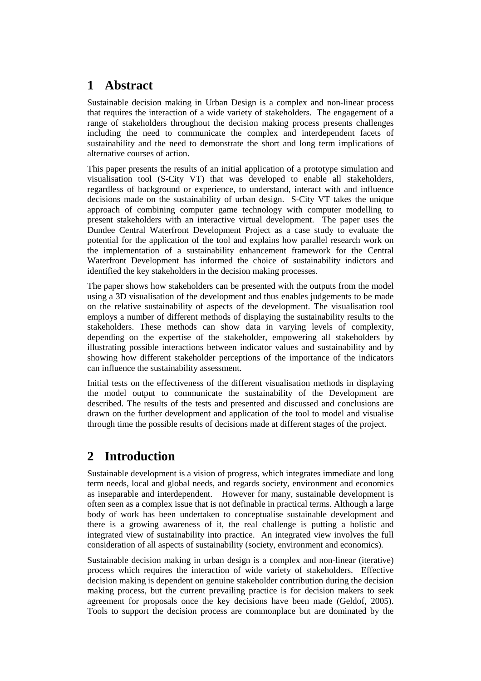### **1 Abstract**

Sustainable decision making in Urban Design is a complex and non-linear process that requires the interaction of a wide variety of stakeholders. The engagement of a range of stakeholders throughout the decision making process presents challenges including the need to communicate the complex and interdependent facets of sustainability and the need to demonstrate the short and long term implications of alternative courses of action.

This paper presents the results of an initial application of a prototype simulation and visualisation tool (S-City VT) that was developed to enable all stakeholders, regardless of background or experience, to understand, interact with and influence decisions made on the sustainability of urban design. S-City VT takes the unique approach of combining computer game technology with computer modelling to present stakeholders with an interactive virtual development. The paper uses the Dundee Central Waterfront Development Project as a case study to evaluate the potential for the application of the tool and explains how parallel research work on the implementation of a sustainability enhancement framework for the Central Waterfront Development has informed the choice of sustainability indictors and identified the key stakeholders in the decision making processes.

The paper shows how stakeholders can be presented with the outputs from the model using a 3D visualisation of the development and thus enables judgements to be made on the relative sustainability of aspects of the development. The visualisation tool employs a number of different methods of displaying the sustainability results to the stakeholders. These methods can show data in varying levels of complexity, depending on the expertise of the stakeholder, empowering all stakeholders by illustrating possible interactions between indicator values and sustainability and by showing how different stakeholder perceptions of the importance of the indicators can influence the sustainability assessment.

Initial tests on the effectiveness of the different visualisation methods in displaying the model output to communicate the sustainability of the Development are described. The results of the tests and presented and discussed and conclusions are drawn on the further development and application of the tool to model and visualise through time the possible results of decisions made at different stages of the project.

### **2 Introduction**

Sustainable development is a vision of progress, which integrates immediate and long term needs, local and global needs, and regards society, environment and economics as inseparable and interdependent. However for many, sustainable development is often seen as a complex issue that is not definable in practical terms. Although a large body of work has been undertaken to conceptualise sustainable development and there is a growing awareness of it, the real challenge is putting a holistic and integrated view of sustainability into practice. An integrated view involves the full consideration of all aspects of sustainability (society, environment and economics).

Sustainable decision making in urban design is a complex and non-linear (iterative) process which requires the interaction of wide variety of stakeholders. Effective decision making is dependent on genuine stakeholder contribution during the decision making process, but the current prevailing practice is for decision makers to seek agreement for proposals once the key decisions have been made (Geldof, 2005). Tools to support the decision process are commonplace but are dominated by the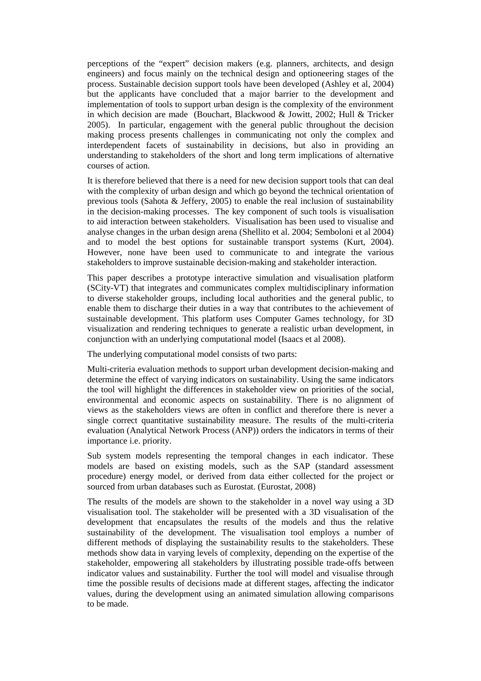perceptions of the "expert" decision makers (e.g. planners, architects, and design engineers) and focus mainly on the technical design and optioneering stages of the process. Sustainable decision support tools have been developed (Ashley et al, 2004) but the applicants have concluded that a major barrier to the development and implementation of tools to support urban design is the complexity of the environment in which decision are made (Bouchart, Blackwood & Jowitt, 2002; Hull & Tricker 2005). In particular, engagement with the general public throughout the decision making process presents challenges in communicating not only the complex and interdependent facets of sustainability in decisions, but also in providing an understanding to stakeholders of the short and long term implications of alternative courses of action.

It is therefore believed that there is a need for new decision support tools that can deal with the complexity of urban design and which go beyond the technical orientation of previous tools (Sahota & Jeffery, 2005) to enable the real inclusion of sustainability in the decision-making processes. The key component of such tools is visualisation to aid interaction between stakeholders. Visualisation has been used to visualise and analyse changes in the urban design arena (Shellito et al. 2004; Semboloni et al 2004) and to model the best options for sustainable transport systems (Kurt, 2004). However, none have been used to communicate to and integrate the various stakeholders to improve sustainable decision-making and stakeholder interaction.

This paper describes a prototype interactive simulation and visualisation platform (SCity-VT) that integrates and communicates complex multidisciplinary information to diverse stakeholder groups, including local authorities and the general public, to enable them to discharge their duties in a way that contributes to the achievement of sustainable development. This platform uses Computer Games technology, for 3D visualization and rendering techniques to generate a realistic urban development, in conjunction with an underlying computational model (Isaacs et al 2008).

The underlying computational model consists of two parts:

Multi-criteria evaluation methods to support urban development decision-making and determine the effect of varying indicators on sustainability. Using the same indicators the tool will highlight the differences in stakeholder view on priorities of the social, environmental and economic aspects on sustainability. There is no alignment of views as the stakeholders views are often in conflict and therefore there is never a single correct quantitative sustainability measure. The results of the multi-criteria evaluation (Analytical Network Process (ANP)) orders the indicators in terms of their importance i.e. priority.

Sub system models representing the temporal changes in each indicator. These models are based on existing models, such as the SAP (standard assessment procedure) energy model, or derived from data either collected for the project or sourced from urban databases such as Eurostat. (Eurostat, 2008)

The results of the models are shown to the stakeholder in a novel way using a 3D visualisation tool. The stakeholder will be presented with a 3D visualisation of the development that encapsulates the results of the models and thus the relative sustainability of the development. The visualisation tool employs a number of different methods of displaying the sustainability results to the stakeholders. These methods show data in varying levels of complexity, depending on the expertise of the stakeholder, empowering all stakeholders by illustrating possible trade-offs between indicator values and sustainability. Further the tool will model and visualise through time the possible results of decisions made at different stages, affecting the indicator values, during the development using an animated simulation allowing comparisons to be made.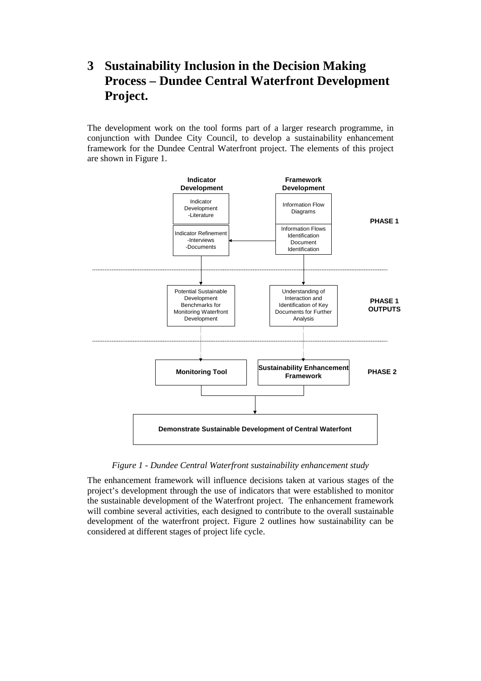# **3 Sustainability Inclusion in the Decision Making Process – Dundee Central Waterfront Development Project.**

The development work on the tool forms part of a larger research programme, in conjunction with Dundee City Council, to develop a sustainability enhancement framework for the Dundee Central Waterfront project. The elements of this project are shown in Figure 1.



#### *Figure 1 - Dundee Central Waterfront sustainability enhancement study*

The enhancement framework will influence decisions taken at various stages of the project's development through the use of indicators that were established to monitor the sustainable development of the Waterfront project. The enhancement framework will combine several activities, each designed to contribute to the overall sustainable development of the waterfront project. Figure 2 outlines how sustainability can be considered at different stages of project life cycle.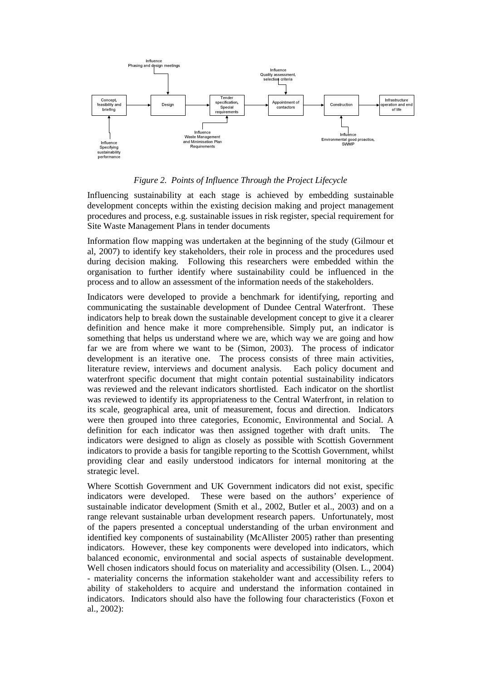

#### *Figure 2. Points of Influence Through the Project Lifecycle*

Influencing sustainability at each stage is achieved by embedding sustainable development concepts within the existing decision making and project management procedures and process, e.g. sustainable issues in risk register, special requirement for Site Waste Management Plans in tender documents

Information flow mapping was undertaken at the beginning of the study (Gilmour et al, 2007) to identify key stakeholders, their role in process and the procedures used during decision making. Following this researchers were embedded within the organisation to further identify where sustainability could be influenced in the process and to allow an assessment of the information needs of the stakeholders.

Indicators were developed to provide a benchmark for identifying, reporting and communicating the sustainable development of Dundee Central Waterfront. These indicators help to break down the sustainable development concept to give it a clearer definition and hence make it more comprehensible. Simply put, an indicator is something that helps us understand where we are, which way we are going and how far we are from where we want to be (Simon, 2003). The process of indicator development is an iterative one. The process consists of three main activities, literature review, interviews and document analysis. Each policy document and waterfront specific document that might contain potential sustainability indicators was reviewed and the relevant indicators shortlisted. Each indicator on the shortlist was reviewed to identify its appropriateness to the Central Waterfront, in relation to its scale, geographical area, unit of measurement, focus and direction. Indicators were then grouped into three categories, Economic, Environmental and Social. A definition for each indicator was then assigned together with draft units. The indicators were designed to align as closely as possible with Scottish Government indicators to provide a basis for tangible reporting to the Scottish Government, whilst providing clear and easily understood indicators for internal monitoring at the strategic level.

Where Scottish Government and UK Government indicators did not exist, specific indicators were developed. These were based on the authors' experience of sustainable indicator development (Smith et al., 2002, Butler et al., 2003) and on a range relevant sustainable urban development research papers. Unfortunately, most of the papers presented a conceptual understanding of the urban environment and identified key components of sustainability (McAllister 2005) rather than presenting indicators. However, these key components were developed into indicators, which balanced economic, environmental and social aspects of sustainable development. Well chosen indicators should focus on materiality and accessibility (Olsen. L., 2004) - materiality concerns the information stakeholder want and accessibility refers to ability of stakeholders to acquire and understand the information contained in indicators. Indicators should also have the following four characteristics (Foxon et al., 2002):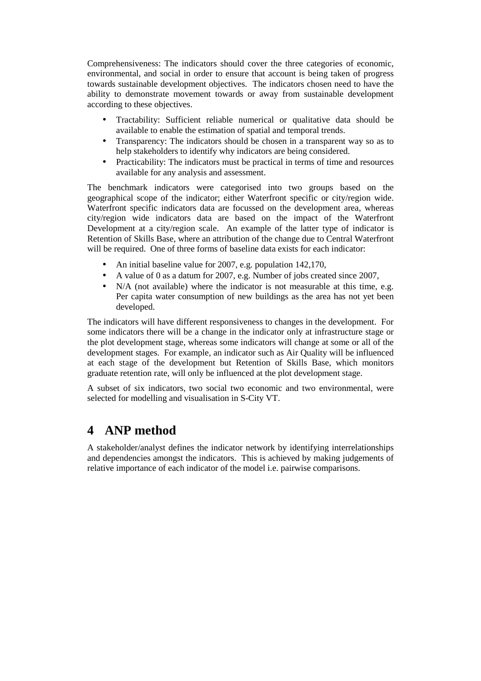Comprehensiveness: The indicators should cover the three categories of economic, environmental, and social in order to ensure that account is being taken of progress towards sustainable development objectives. The indicators chosen need to have the ability to demonstrate movement towards or away from sustainable development according to these objectives.

- Tractability: Sufficient reliable numerical or qualitative data should be available to enable the estimation of spatial and temporal trends.
- Transparency: The indicators should be chosen in a transparent way so as to help stakeholders to identify why indicators are being considered.
- Practicability: The indicators must be practical in terms of time and resources available for any analysis and assessment.

The benchmark indicators were categorised into two groups based on the geographical scope of the indicator; either Waterfront specific or city/region wide. Waterfront specific indicators data are focussed on the development area, whereas city/region wide indicators data are based on the impact of the Waterfront Development at a city/region scale. An example of the latter type of indicator is Retention of Skills Base, where an attribution of the change due to Central Waterfront will be required. One of three forms of baseline data exists for each indicator:

- An initial baseline value for 2007, e.g. population 142,170,
- A value of 0 as a datum for 2007, e.g. Number of jobs created since 2007,
- N/A (not available) where the indicator is not measurable at this time, e.g. Per capita water consumption of new buildings as the area has not yet been developed.

The indicators will have different responsiveness to changes in the development. For some indicators there will be a change in the indicator only at infrastructure stage or the plot development stage, whereas some indicators will change at some or all of the development stages. For example, an indicator such as Air Quality will be influenced at each stage of the development but Retention of Skills Base, which monitors graduate retention rate, will only be influenced at the plot development stage.

A subset of six indicators, two social two economic and two environmental, were selected for modelling and visualisation in S-City VT.

### **4 ANP method**

A stakeholder/analyst defines the indicator network by identifying interrelationships and dependencies amongst the indicators. This is achieved by making judgements of relative importance of each indicator of the model i.e. pairwise comparisons.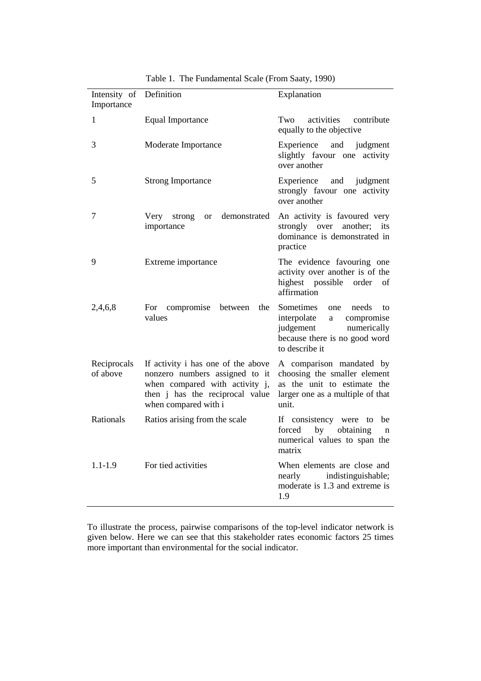| Intensity of Definition<br>Importance |                                                                                                                                                                   | Explanation                                                                                                                                |  |  |  |
|---------------------------------------|-------------------------------------------------------------------------------------------------------------------------------------------------------------------|--------------------------------------------------------------------------------------------------------------------------------------------|--|--|--|
| 1                                     | Equal Importance                                                                                                                                                  | Two activities contribute<br>equally to the objective                                                                                      |  |  |  |
| 3                                     | Moderate Importance                                                                                                                                               | Experience and judgment<br>slightly favour one activity<br>over another                                                                    |  |  |  |
| 5                                     | <b>Strong Importance</b>                                                                                                                                          | Experience and judgment<br>strongly favour one activity<br>over another                                                                    |  |  |  |
| 7                                     | Very strong<br>demonstrated<br><b>or</b><br>importance                                                                                                            | An activity is favoured very<br>strongly over another; its<br>dominance is demonstrated in<br>practice                                     |  |  |  |
| 9                                     | Extreme importance                                                                                                                                                | The evidence favouring one<br>activity over another is of the<br>highest possible order<br>of<br>affirmation                               |  |  |  |
| 2,4,6,8                               | For compromise<br>between<br>the<br>values                                                                                                                        | Sometimes one<br>needs to<br>interpolate<br>compromise<br>a<br>judgement<br>numerically<br>because there is no good word<br>to describe it |  |  |  |
| Reciprocals<br>of above               | If activity i has one of the above<br>nonzero numbers assigned to it<br>when compared with activity j,<br>then j has the reciprocal value<br>when compared with i | A comparison mandated by<br>choosing the smaller element<br>as the unit to estimate the<br>larger one as a multiple of that<br>unit.       |  |  |  |
| Rationals                             | Ratios arising from the scale                                                                                                                                     | If consistency were to<br>be<br>by<br>obtaining<br>forced<br>n<br>numerical values to span the<br>matrix                                   |  |  |  |
| $1.1 - 1.9$                           | For tied activities                                                                                                                                               | When elements are close and<br>indistinguishable;<br>nearly<br>moderate is 1.3 and extreme is<br>1.9                                       |  |  |  |

Table 1. The Fundamental Scale (From Saaty, 1990)

To illustrate the process, pairwise comparisons of the top-level indicator network is given below. Here we can see that this stakeholder rates economic factors 25 times more important than environmental for the social indicator.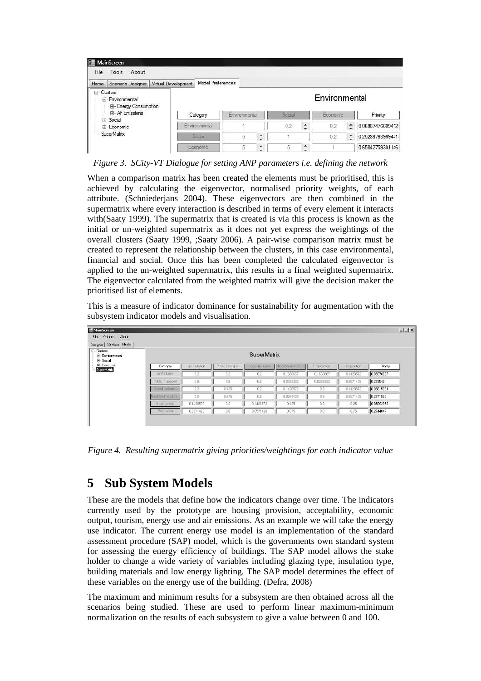| File                                                                                             | MainScreen<br>Tools About |                                                |                   |               |        |        |        |           |   |                  |
|--------------------------------------------------------------------------------------------------|---------------------------|------------------------------------------------|-------------------|---------------|--------|--------|--------|-----------|---|------------------|
|                                                                                                  |                           | Home   Scenario Designer   Virtual Development | Model Preferences |               |        |        |        |           |   |                  |
| □ Clusters<br>Environmental<br>E- Energy Consumption<br>Fi-Air Emissions<br>F Social<br>Economic |                           |                                                |                   | Environmental |        |        |        |           |   |                  |
|                                                                                                  |                           |                                                | Category          | Environmental |        | Social |        | Economic: |   | Priority         |
|                                                                                                  |                           |                                                | Environmental     |               |        | 0.2    | Î      | 0.2       | ٥ | 0.08867476609412 |
| SuperMatrix                                                                                      |                           |                                                | Social            |               | ×<br>≌ |        |        | 0.2       | Ĉ | 0.25289763999441 |
|                                                                                                  |                           |                                                | Economic          |               | î      | 5      | Ă<br>- |           |   | 0.65842759391146 |

*Figure 3. SCity-VT Dialogue for setting ANP parameters i.e. defining the network* 

When a comparison matrix has been created the elements must be prioritised, this is achieved by calculating the eigenvector, normalised priority weights, of each attribute. (Schniederjans 2004). These eigenvectors are then combined in the supermatrix where every interaction is described in terms of every element it interacts with(Saaty 1999). The supermatrix that is created is via this process is known as the initial or un-weighted supermatrix as it does not yet express the weightings of the overall clusters (Saaty 1999, ;Saaty 2006). A pair-wise comparison matrix must be created to represent the relationship between the clusters, in this case environmental, financial and social. Once this has been completed the calculated eigenvector is applied to the un-weighted supermatrix, this results in a final weighted supermatrix. The eigenvector calculated from the weighted matrix will give the decision maker the prioritised list of elements.

This is a measure of indicator dominance for sustainability for augmentation with the subsystem indicator models and visualisation.

| Options<br>About<br>File                       |                    |               |                  |                  |                   |            |            |            |  |
|------------------------------------------------|--------------------|---------------|------------------|------------------|-------------------|------------|------------|------------|--|
| Designer 3D View Model                         |                    |               |                  |                  |                   |            |            |            |  |
| <b>E</b> Clusters<br>Environmental<br>E-Social |                    | SuperMatrix   |                  |                  |                   |            |            |            |  |
| E- Economic<br>SuperMatrix                     | Category           | Air Pollution | Public Transport | Social Inclusion | Neighbouthood Sal | Employment | Population | Priority   |  |
|                                                | Air Pollution      | 0.2           | 0.2              | 0.2              | 0.1666667         | 0.1666667  | 0.1428572  | 0.05978837 |  |
|                                                | Public Transport   | 0.8           | 0.8              | 0.8              | 0.8333333         | 0.8333333  | 0.8571428  | 0.273545   |  |
|                                                | Social Inclusion   | 0.2           | 0.125            | 0.2              | 0.1428572         | 0.2        | 0.1428572  | 0.05615081 |  |
|                                                | Neighbourhood Sati | 0.8           | 0.875            | 0.8              | 0.8571428         | 0.8        | 0.8571428  | 0.2771825  |  |
|                                                | Employment         | 0.1428572     | 0.2              | 0.1428572        | 0.125             | 0.2        | 0.25       | 0.05892858 |  |
|                                                | Population         | 0.8571428     | 0.8              | 0.8571428        | 0.875             | 0.8        | 0.75       | 0.2744047  |  |

*Figure 4. Resulting supermatrix giving priorities/weightings for each indicator value* 

# **5 Sub System Models**

These are the models that define how the indicators change over time. The indicators currently used by the prototype are housing provision, acceptability, economic output, tourism, energy use and air emissions. As an example we will take the energy use indicator. The current energy use model is an implementation of the standard assessment procedure (SAP) model, which is the governments own standard system for assessing the energy efficiency of buildings. The SAP model allows the stake holder to change a wide variety of variables including glazing type, insulation type, building materials and low energy lighting. The SAP model determines the effect of these variables on the energy use of the building. (Defra, 2008)

The maximum and minimum results for a subsystem are then obtained across all the scenarios being studied. These are used to perform linear maximum-minimum normalization on the results of each subsystem to give a value between 0 and 100.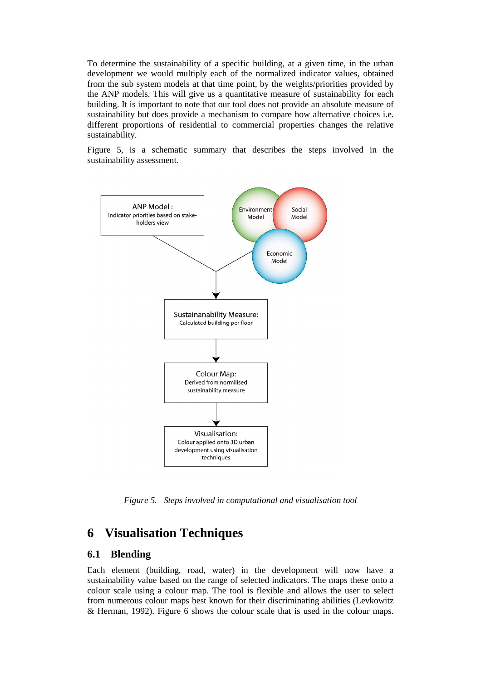To determine the sustainability of a specific building, at a given time, in the urban development we would multiply each of the normalized indicator values, obtained from the sub system models at that time point, by the weights/priorities provided by the ANP models. This will give us a quantitative measure of sustainability for each building. It is important to note that our tool does not provide an absolute measure of sustainability but does provide a mechanism to compare how alternative choices i.e. different proportions of residential to commercial properties changes the relative sustainability.

Figure 5, is a schematic summary that describes the steps involved in the sustainability assessment.



*Figure 5. Steps involved in computational and visualisation tool* 

### **6 Visualisation Techniques**

#### **6.1 Blending**

Each element (building, road, water) in the development will now have a sustainability value based on the range of selected indicators. The maps these onto a colour scale using a colour map. The tool is flexible and allows the user to select from numerous colour maps best known for their discriminating abilities (Levkowitz & Herman, 1992). Figure 6 shows the colour scale that is used in the colour maps.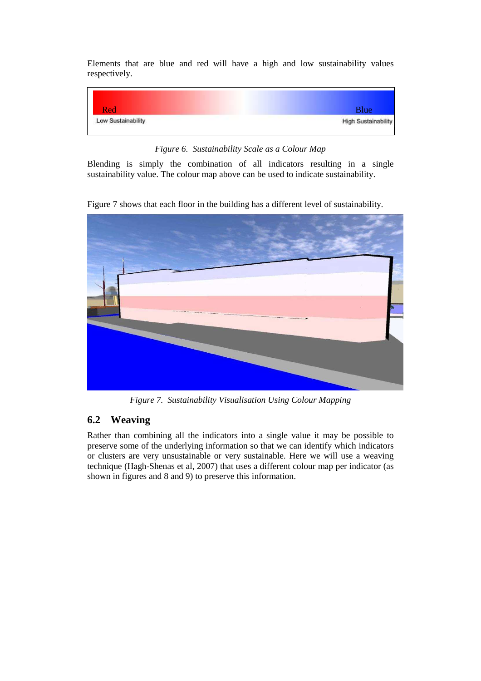Elements that are blue and red will have a high and low sustainability values respectively.



*Figure 6. Sustainability Scale as a Colour Map* 

Blending is simply the combination of all indicators resulting in a single sustainability value. The colour map above can be used to indicate sustainability.

Figure 7 shows that each floor in the building has a different level of sustainability.



*Figure 7. Sustainability Visualisation Using Colour Mapping* 

#### **6.2 Weaving**

Rather than combining all the indicators into a single value it may be possible to preserve some of the underlying information so that we can identify which indicators or clusters are very unsustainable or very sustainable. Here we will use a weaving technique (Hagh-Shenas et al, 2007) that uses a different colour map per indicator (as shown in figures and 8 and 9) to preserve this information.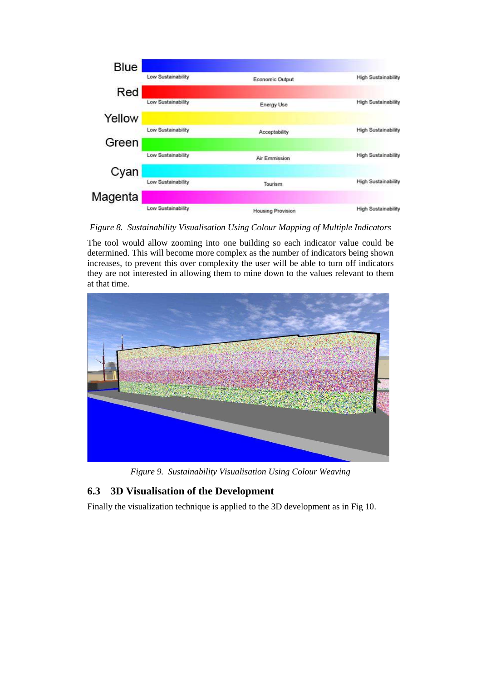

*Figure 8. Sustainability Visualisation Using Colour Mapping of Multiple Indicators* 

The tool would allow zooming into one building so each indicator value could be determined. This will become more complex as the number of indicators being shown increases, to prevent this over complexity the user will be able to turn off indicators they are not interested in allowing them to mine down to the values relevant to them at that time.



*Figure 9. Sustainability Visualisation Using Colour Weaving* 

### **6.3 3D Visualisation of the Development**

Finally the visualization technique is applied to the 3D development as in Fig 10.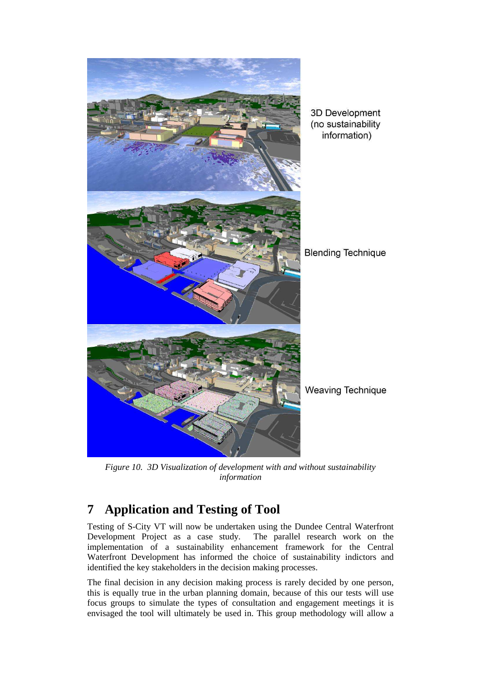

*Figure 10. 3D Visualization of development with and without sustainability information* 

# **7 Application and Testing of Tool**

Testing of S-City VT will now be undertaken using the Dundee Central Waterfront Development Project as a case study. The parallel research work on the implementation of a sustainability enhancement framework for the Central Waterfront Development has informed the choice of sustainability indictors and identified the key stakeholders in the decision making processes.

The final decision in any decision making process is rarely decided by one person, this is equally true in the urban planning domain, because of this our tests will use focus groups to simulate the types of consultation and engagement meetings it is envisaged the tool will ultimately be used in. This group methodology will allow a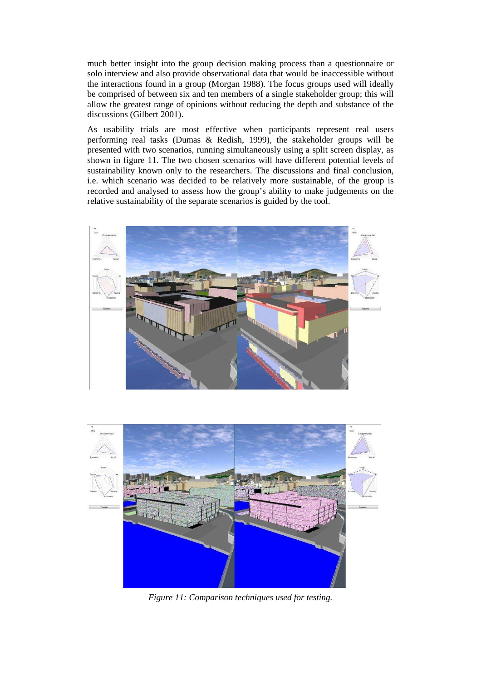much better insight into the group decision making process than a questionnaire or solo interview and also provide observational data that would be inaccessible without the interactions found in a group (Morgan 1988). The focus groups used will ideally be comprised of between six and ten members of a single stakeholder group; this will allow the greatest range of opinions without reducing the depth and substance of the discussions (Gilbert 2001).

As usability trials are most effective when participants represent real users performing real tasks (Dumas & Redish, 1999), the stakeholder groups will be presented with two scenarios, running simultaneously using a split screen display, as shown in figure 11. The two chosen scenarios will have different potential levels of sustainability known only to the researchers. The discussions and final conclusion, i.e. which scenario was decided to be relatively more sustainable, of the group is recorded and analysed to assess how the group's ability to make judgements on the relative sustainability of the separate scenarios is guided by the tool.





*Figure 11: Comparison techniques used for testing.*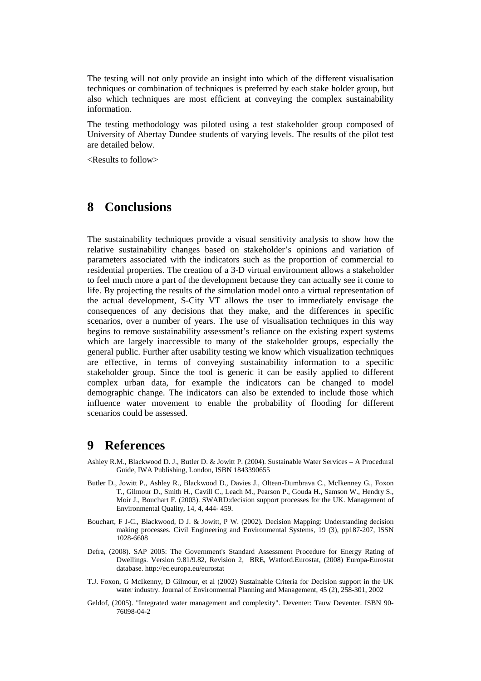The testing will not only provide an insight into which of the different visualisation techniques or combination of techniques is preferred by each stake holder group, but also which techniques are most efficient at conveying the complex sustainability information.

The testing methodology was piloted using a test stakeholder group composed of University of Abertay Dundee students of varying levels. The results of the pilot test are detailed below.

<Results to follow>

### **8 Conclusions**

The sustainability techniques provide a visual sensitivity analysis to show how the relative sustainability changes based on stakeholder's opinions and variation of parameters associated with the indicators such as the proportion of commercial to residential properties. The creation of a 3-D virtual environment allows a stakeholder to feel much more a part of the development because they can actually see it come to life. By projecting the results of the simulation model onto a virtual representation of the actual development, S-City VT allows the user to immediately envisage the consequences of any decisions that they make, and the differences in specific scenarios, over a number of years. The use of visualisation techniques in this way begins to remove sustainability assessment's reliance on the existing expert systems which are largely inaccessible to many of the stakeholder groups, especially the general public. Further after usability testing we know which visualization techniques are effective, in terms of conveying sustainability information to a specific stakeholder group. Since the tool is generic it can be easily applied to different complex urban data, for example the indicators can be changed to model demographic change. The indicators can also be extended to include those which influence water movement to enable the probability of flooding for different scenarios could be assessed.

#### **9 References**

- Ashley R.M., Blackwood D. J., Butler D. & Jowitt P. (2004). Sustainable Water Services A Procedural Guide, IWA Publishing, London, ISBN 1843390655
- Butler D., Jowitt P., Ashley R., Blackwood D., Davies J., Oltean-Dumbrava C., McIkenney G., Foxon T., Gilmour D., Smith H., Cavill C., Leach M., Pearson P., Gouda H., Samson W., Hendry S., Moir J., Bouchart F. (2003). SWARD:decision support processes for the UK. Management of Environmental Quality, 14, 4, 444- 459.
- Bouchart, F J-C., Blackwood, D J. & Jowitt, P W. (2002). Decision Mapping: Understanding decision making processes. Civil Engineering and Environmental Systems, 19 (3), pp187-207, ISSN 1028-6608
- Defra, (2008). SAP 2005: The Government's Standard Assessment Procedure for Energy Rating of Dwellings. Version 9.81/9.82, Revision 2, BRE, Watford.Eurostat, (2008) Europa-Eurostat database. http://ec.europa.eu/eurostat
- T.J. Foxon, G McIkenny, D Gilmour, et al (2002) Sustainable Criteria for Decision support in the UK water industry. Journal of Environmental Planning and Management, 45 (2), 258-301, 2002
- Geldof, (2005). "Integrated water management and complexity". Deventer: Tauw Deventer. ISBN 90- 76098-04-2